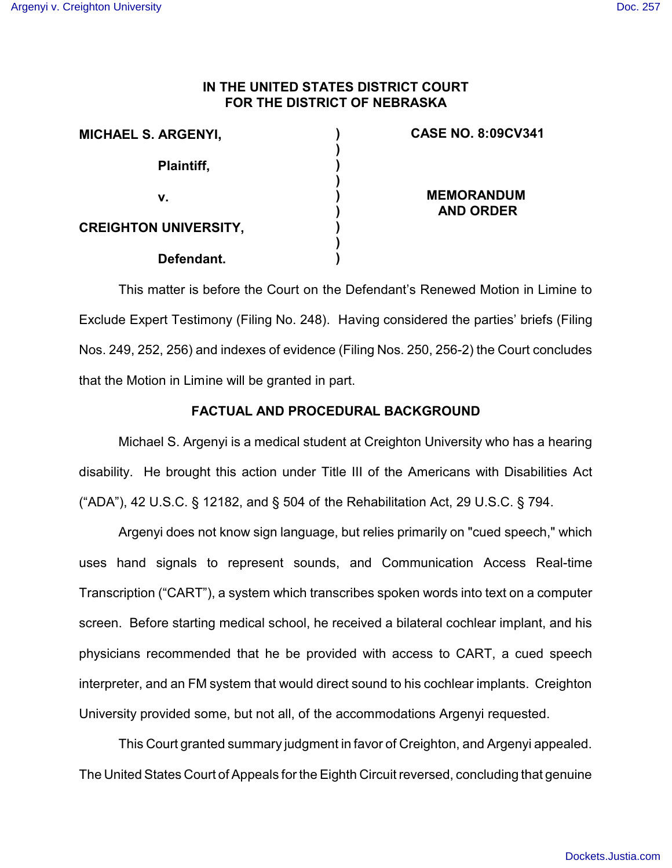# **IN THE UNITED STATES DISTRICT COURT FOR THE DISTRICT OF NEBRASKA**

**) ) ) ) ) ) ) ) )**

| <b>MICHAEL S. ARGENYI,</b>   |  |
|------------------------------|--|
| <b>Plaintiff,</b>            |  |
| v.                           |  |
| <b>CREIGHTON UNIVERSITY,</b> |  |
| Defendant.                   |  |

## **CASE NO. 8:09CV341**

**MEMORANDUM AND ORDER**

This matter is before the Court on the Defendant's Renewed Motion in Limine to Exclude Expert Testimony (Filing No. 248). Having considered the parties' briefs (Filing Nos. 249, 252, 256) and indexes of evidence (Filing Nos. 250, 256-2) the Court concludes that the Motion in Limine will be granted in part.

# **FACTUAL AND PROCEDURAL BACKGROUND**

Michael S. Argenyi is a medical student at Creighton University who has a hearing disability. He brought this action under Title III of the Americans with Disabilities Act ("ADA"), 42 U.S.C. § 12182, and § 504 of the Rehabilitation Act, 29 U.S.C. § 794.

Argenyi does not know sign language, but relies primarily on "cued speech," which uses hand signals to represent sounds, and Communication Access Real-time Transcription ("CART"), a system which transcribes spoken words into text on a computer screen. Before starting medical school, he received a bilateral cochlear implant, and his physicians recommended that he be provided with access to CART, a cued speech interpreter, and an FM system that would direct sound to his cochlear implants. Creighton University provided some, but not all, of the accommodations Argenyi requested.

This Court granted summary judgment in favor of Creighton, and Argenyi appealed. The United States Court of Appeals for the Eighth Circuit reversed, concluding that genuine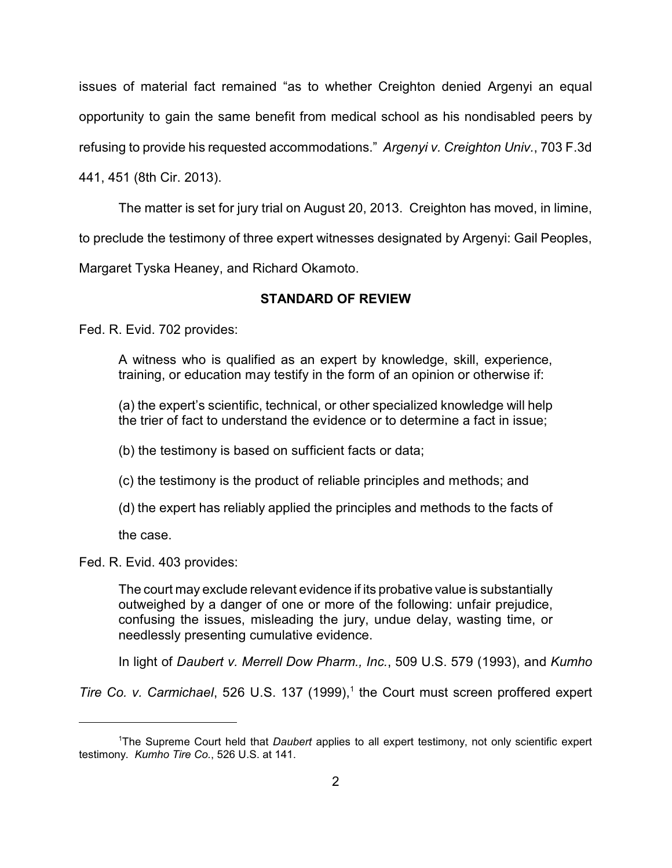issues of material fact remained "as to whether Creighton denied Argenyi an equal opportunity to gain the same benefit from medical school as his nondisabled peers by refusing to provide his requested accommodations." *Argenyi v. Creighton Univ.*, 703 F.3d

441, 451 (8th Cir. 2013).

The matter is set for jury trial on August 20, 2013. Creighton has moved, in limine,

to preclude the testimony of three expert witnesses designated by Argenyi: Gail Peoples,

Margaret Tyska Heaney, and Richard Okamoto.

# **STANDARD OF REVIEW**

Fed. R. Evid. 702 provides:

A witness who is qualified as an expert by knowledge, skill, experience, training, or education may testify in the form of an opinion or otherwise if:

(a) the expert's scientific, technical, or other specialized knowledge will help the trier of fact to understand the evidence or to determine a fact in issue;

(b) the testimony is based on sufficient facts or data;

(c) the testimony is the product of reliable principles and methods; and

(d) the expert has reliably applied the principles and methods to the facts of

the case.

Fed. R. Evid. 403 provides:

The court may exclude relevant evidence if its probative value is substantially outweighed by a danger of one or more of the following: unfair prejudice, confusing the issues, misleading the jury, undue delay, wasting time, or needlessly presenting cumulative evidence.

In light of *Daubert v. Merrell Dow Pharm., Inc.*, 509 U.S. 579 (1993), and *Kumho*

*Tire Co. v. Carmichael*, 526 U.S. 137 (1999),<sup>1</sup> the Court must screen proffered expert

<sup>1</sup>The Supreme Court held that *Daubert* applies to all expert testimony, not only scientific expert testimony. *Kumho Tire Co.*, 526 U.S. at 141.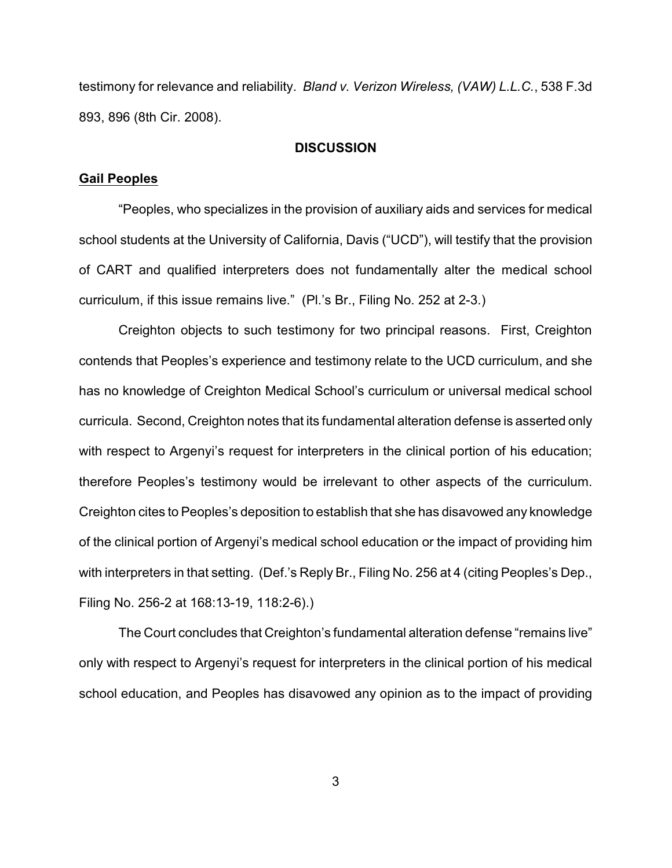testimony for relevance and reliability. *Bland v. Verizon Wireless, (VAW) L.L.C.*, 538 F.3d 893, 896 (8th Cir. 2008).

## **DISCUSSION**

### **Gail Peoples**

"Peoples, who specializes in the provision of auxiliary aids and services for medical school students at the University of California, Davis ("UCD"), will testify that the provision of CART and qualified interpreters does not fundamentally alter the medical school curriculum, if this issue remains live." (Pl.'s Br., Filing No. 252 at 2-3.)

Creighton objects to such testimony for two principal reasons. First, Creighton contends that Peoples's experience and testimony relate to the UCD curriculum, and she has no knowledge of Creighton Medical School's curriculum or universal medical school curricula. Second, Creighton notes that its fundamental alteration defense is asserted only with respect to Argenyi's request for interpreters in the clinical portion of his education; therefore Peoples's testimony would be irrelevant to other aspects of the curriculum. Creighton cites to Peoples's deposition to establish that she has disavowed any knowledge of the clinical portion of Argenyi's medical school education or the impact of providing him with interpreters in that setting. (Def.'s Reply Br., Filing No. 256 at 4 (citing Peoples's Dep., Filing No. 256-2 at 168:13-19, 118:2-6).)

The Court concludes that Creighton's fundamental alteration defense "remains live" only with respect to Argenyi's request for interpreters in the clinical portion of his medical school education, and Peoples has disavowed any opinion as to the impact of providing

3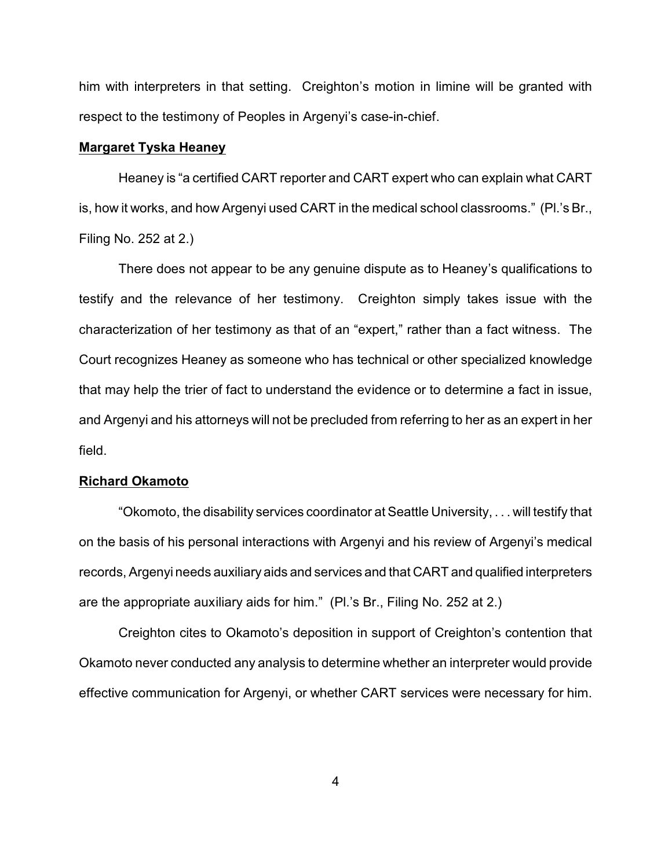him with interpreters in that setting. Creighton's motion in limine will be granted with respect to the testimony of Peoples in Argenyi's case-in-chief.

### **Margaret Tyska Heaney**

Heaney is "a certified CART reporter and CART expert who can explain what CART is, how it works, and how Argenyi used CART in the medical school classrooms." (Pl.'s Br., Filing No. 252 at 2.)

There does not appear to be any genuine dispute as to Heaney's qualifications to testify and the relevance of her testimony. Creighton simply takes issue with the characterization of her testimony as that of an "expert," rather than a fact witness. The Court recognizes Heaney as someone who has technical or other specialized knowledge that may help the trier of fact to understand the evidence or to determine a fact in issue, and Argenyi and his attorneys will not be precluded from referring to her as an expert in her field.

#### **Richard Okamoto**

"Okomoto, the disability services coordinator at Seattle University, . . . will testify that on the basis of his personal interactions with Argenyi and his review of Argenyi's medical records, Argenyi needs auxiliary aids and services and that CART and qualified interpreters are the appropriate auxiliary aids for him." (Pl.'s Br., Filing No. 252 at 2.)

Creighton cites to Okamoto's deposition in support of Creighton's contention that Okamoto never conducted any analysis to determine whether an interpreter would provide effective communication for Argenyi, or whether CART services were necessary for him.

4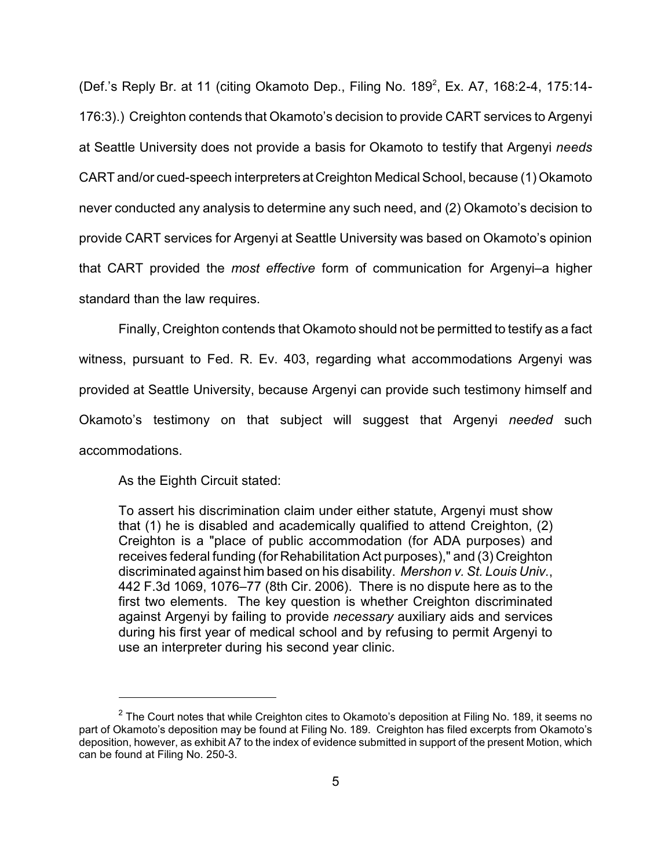(Def.'s Reply Br. at 11 (citing Okamoto Dep., Filing No. 189<sup>2</sup>, Ex. A7, 168:2-4, 175:14-176:3).) Creighton contends that Okamoto's decision to provide CART services to Argenyi at Seattle University does not provide a basis for Okamoto to testify that Argenyi *needs* CART and/or cued-speech interpreters at Creighton Medical School, because (1) Okamoto never conducted any analysis to determine any such need, and (2) Okamoto's decision to provide CART services for Argenyi at Seattle University was based on Okamoto's opinion that CART provided the *most effective* form of communication for Argenyi–a higher standard than the law requires.

Finally, Creighton contends that Okamoto should not be permitted to testify as a fact witness, pursuant to Fed. R. Ev. 403, regarding what accommodations Argenyi was provided at Seattle University, because Argenyi can provide such testimony himself and Okamoto's testimony on that subject will suggest that Argenyi *needed* such accommodations.

As the Eighth Circuit stated:

To assert his discrimination claim under either statute, Argenyi must show that (1) he is disabled and academically qualified to attend Creighton, (2) Creighton is a "place of public accommodation (for ADA purposes) and receives federal funding (for Rehabilitation Act purposes)," and (3) Creighton discriminated against him based on his disability. *Mershon v. St. Louis Univ.*, 442 F.3d 1069, 1076–77 (8th Cir. 2006). There is no dispute here as to the first two elements. The key question is whether Creighton discriminated against Argenyi by failing to provide *necessary* auxiliary aids and services during his first year of medical school and by refusing to permit Argenyi to use an interpreter during his second year clinic.

 $^{\text{2}}$  The Court notes that while Creighton cites to Okamoto's deposition at Filing No. 189, it seems no part of Okamoto's deposition may be found at Filing No. 189. Creighton has filed excerpts from Okamoto's deposition, however, as exhibit A7 to the index of evidence submitted in support of the present Motion, which can be found at Filing No. 250-3.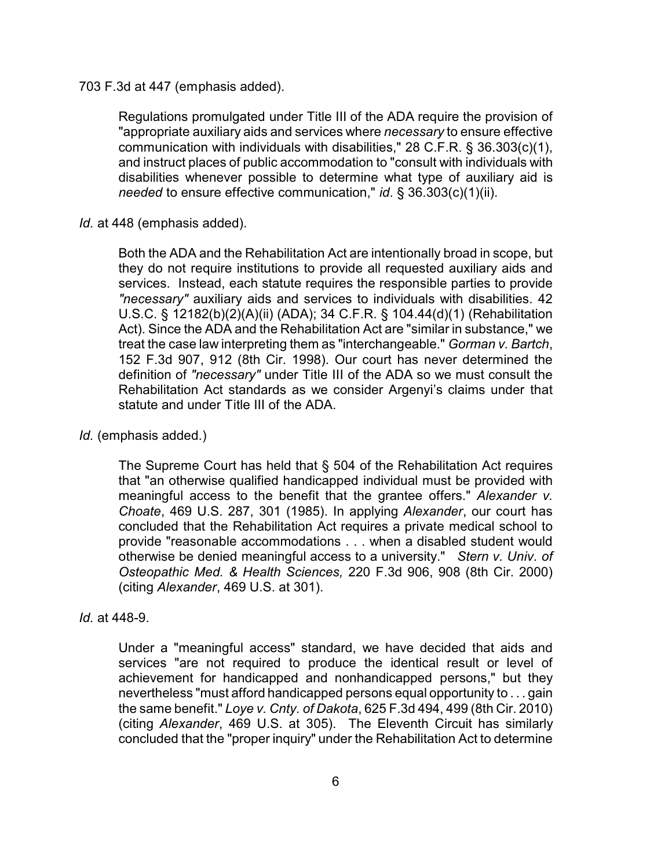703 F.3d at 447 (emphasis added).

Regulations promulgated under Title III of the ADA require the provision of "appropriate auxiliary aids and services where *necessary* to ensure effective communication with individuals with disabilities," 28 C.F.R. § 36.303(c)(1), and instruct places of public accommodation to "consult with individuals with disabilities whenever possible to determine what type of auxiliary aid is *needed* to ensure effective communication," *id*. § 36.303(c)(1)(ii).

*Id.* at 448 (emphasis added).

Both the ADA and the Rehabilitation Act are intentionally broad in scope, but they do not require institutions to provide all requested auxiliary aids and services. Instead, each statute requires the responsible parties to provide *"necessary"* auxiliary aids and services to individuals with disabilities. 42 U.S.C. § 12182(b)(2)(A)(ii) (ADA); 34 C.F.R. § 104.44(d)(1) (Rehabilitation Act). Since the ADA and the Rehabilitation Act are "similar in substance," we treat the case law interpreting them as "interchangeable." *Gorman v. Bartch*, 152 F.3d 907, 912 (8th Cir. 1998). Our court has never determined the definition of *"necessary"* under Title III of the ADA so we must consult the Rehabilitation Act standards as we consider Argenyi's claims under that statute and under Title III of the ADA.

*Id.* (emphasis added.)

The Supreme Court has held that § 504 of the Rehabilitation Act requires that "an otherwise qualified handicapped individual must be provided with meaningful access to the benefit that the grantee offers." *Alexander v. Choate*, 469 U.S. 287, 301 (1985). In applying *Alexander*, our court has concluded that the Rehabilitation Act requires a private medical school to provide "reasonable accommodations . . . when a disabled student would otherwise be denied meaningful access to a university." *Stern v. Univ. of Osteopathic Med. & Health Sciences,* 220 F.3d 906, 908 (8th Cir. 2000) (citing *Alexander*, 469 U.S. at 301).

## *Id.* at 448-9.

Under a "meaningful access" standard, we have decided that aids and services "are not required to produce the identical result or level of achievement for handicapped and nonhandicapped persons," but they nevertheless "must afford handicapped persons equal opportunity to . . . gain the same benefit." *Loye v. Cnty. of Dakota*, 625 F.3d 494, 499 (8th Cir. 2010) (citing *Alexander*, 469 U.S. at 305). The Eleventh Circuit has similarly concluded that the "proper inquiry" under the Rehabilitation Act to determine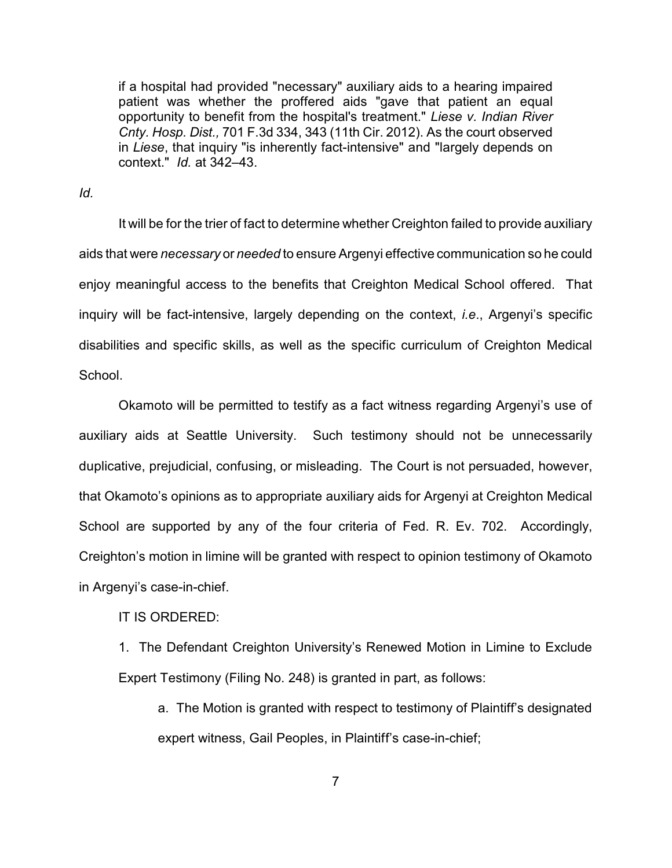if a hospital had provided "necessary" auxiliary aids to a hearing impaired patient was whether the proffered aids "gave that patient an equal opportunity to benefit from the hospital's treatment." *Liese v. Indian River Cnty. Hosp. Dist.,* 701 F.3d 334, 343 (11th Cir. 2012). As the court observed in *Liese*, that inquiry "is inherently fact-intensive" and "largely depends on context." *Id.* at 342–43.

*Id.*

It will be for the trier of fact to determine whether Creighton failed to provide auxiliary aids that were *necessary* or *needed* to ensure Argenyi effective communication so he could enjoy meaningful access to the benefits that Creighton Medical School offered. That inquiry will be fact-intensive, largely depending on the context, *i.e*., Argenyi's specific disabilities and specific skills, as well as the specific curriculum of Creighton Medical School.

Okamoto will be permitted to testify as a fact witness regarding Argenyi's use of auxiliary aids at Seattle University. Such testimony should not be unnecessarily duplicative, prejudicial, confusing, or misleading. The Court is not persuaded, however, that Okamoto's opinions as to appropriate auxiliary aids for Argenyi at Creighton Medical School are supported by any of the four criteria of Fed. R. Ev. 702. Accordingly, Creighton's motion in limine will be granted with respect to opinion testimony of Okamoto in Argenyi's case-in-chief.

IT IS ORDERED:

1. The Defendant Creighton University's Renewed Motion in Limine to Exclude Expert Testimony (Filing No. 248) is granted in part, as follows:

a. The Motion is granted with respect to testimony of Plaintiff's designated expert witness, Gail Peoples, in Plaintiff's case-in-chief;

7